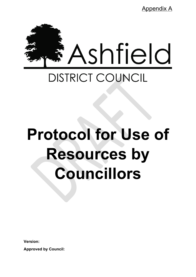Appendix A



# **Protocol for Use of Resources by Councillors**

**Version:**

**Approved by Council:**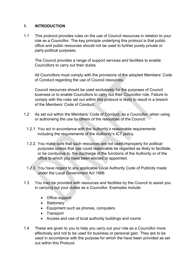# **1. INTRODUCTION**

1.1 This protocol provides rules on the use of Council resources in relation to your role as a Councillor. The key principle underlying this protocol is that public office and public resources should not be used to further purely private or party-political purposes.

The Council provides a range of support services and facilities to enable Councillors to carry out their duties.

All Councillors must comply with the provisions of the adopted Members' Code of Conduct regarding the use of Council resources.

Council resources should be used exclusively for the purposes of Council business or to enable Councillors to carry out their Councillor role. Failure to comply with the rules set out within this protocol is likely to result in a breach of the Members' Code of Conduct.

- 1.2 As set out within the Members' Code of Conduct, as a Councillor, when using or authorising the use by others of the resources of the Council:
	- 1.2.1 You act in accordance with the Authority's reasonable requirements including the requirements of the Authority's ICT policy.
	- 1.2.2 You make sure that such resources are not used improperly for political purposes unless that use could reasonable be regarded as likely to facilitate, or be conducive to, the discharge of the functions of the Authority or of the office to which you have been elected or appointed.
	- 1.2.3 You have regard to any applicable Local Authority Code of Publicity made under the Local Government Act 1986.
- 1.3 You may be provided with resources and facilities by the Council to assist you in carrying out your duties as a Councillor. Examples include:
	- Office support
	- Stationery
	- Equipment such as phones, computers
	- Transport
	- Access and use of local authority buildings and rooms
- 1.4 These are given to you to help you carry out your role as a Councillor more effectively and not to be used for business or personal gain. They are to be used in accordance with the purpose for which the have been provided as set out within this Protocol.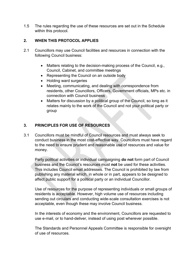1.5 The rules regarding the use of these resources are set out in the Schedule within this protocol.

# **2. WHEN THIS PROTOCOL APPLIES**

- 2.1 Councillors may use Council facilities and resources in connection with the following Council business:
	- Matters relating to the decision-making process of the Council, e.g., Council, Cabinet, and committee meetings
	- Representing the Council on an outside body
	- Holding ward surgeries
	- Meeting, communicating, and dealing with correspondence from residents, other Councillors, Officers, Government officials, MPs etc. in connection with Council business
	- Matters for discussion by a political group of the Council, so long as it relates mainly to the work of the Council and not your political party or group

# **3. PRINCIPLES FOR USE OF RESOURCES**

3.1 Councillors must be mindful of Council resources and must always seek to conduct business in the most cost-effective way. Councillors must have regard to the need to ensure prudent and reasonable use of resources and value for money.

Party political activities or individual campaigning **do not** form part of Council business and the Council's resources must **not** be used for these activities. This includes Council email addresses. The Council is prohibited by law from publishing any material which, in whole or in part, appears to be designed to affect public support for a political party or an individual Councillor.

Use of resources for the purpose of representing individuals or small groups of residents is acceptable. However, high volume use of resources including sending out circulars and conducting wide-scale consultation exercises is not acceptable, even though these may involve Council business.

In the interests of economy and the environment, Councillors are requested to use e-mail, or to hand-deliver, instead of using post wherever possible.

The Standards and Personnel Appeals Committee is responsible for oversight of use of resources.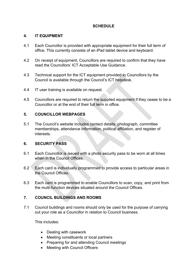# **SCHEDULE**

#### **4. IT EQUIPMENT**

- 4.1 Each Councillor is provided with appropriate equipment for their full term of office. This currently consists of an iPad tablet device and keyboard.
- 4.2 On receipt of equipment, Councillors are required to confirm that they have read the Councillors' ICT Acceptable Use Guidance.
- 4.3 Technical support for the ICT equipment provided to Councillors by the Council is available through the Council's ICT helpdesk.
- 4.4 IT user training is available on request.
- 4.5 Councillors are required to return the supplied equipment if they cease to be a Councillor or at the end of their full term in office.

# **5. COUNCILLOR WEBPAGES**

5.1 The Council's website includes contact details, photograph, committee memberships, attendance information, political affiliation, and register of interests.

#### **6. SECURITY PASS**

- 6.1 Each Councillor is issued with a photo security pass to be worn at all times when in the Council Offices.
- 6.2 Each card is individually programmed to provide access to particular areas in the Council Offices.
- 6.3 Each card is programmed to enable Councillors to scan, copy, and print from the multi-function devices situated around the Council Offices.

# **7. COUNCIL BUILDINGS AND ROOMS**

7.1 Council buildings and rooms should only be used for the purpose of carrying out your role as a Councillor in relation to Council business.

This includes:

- Dealing with casework
- Meeting constituents or local partners
- Preparing for and attending Council meetings
- Meeting with Council Officers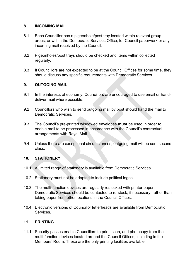#### **8. INCOMING MAIL**

- 8.1 Each Councillor has a pigeonhole/post tray located within relevant group areas, or within the Democratic Services Office, for Council paperwork or any incoming mail received by the Council.
- 8.2 Pigeonholes/post trays should be checked and items within collected regularly.
- 8.3 If Councillors are not expected to be at the Council Offices for some time, they should discuss any specific requirements with Democratic Services.

# **9. OUTGOING MAIL**

- 9.1 In the interests of economy, Councillors are encouraged to use email or handdeliver mail where possible.
- 9.2 Councillors who wish to send outgoing mail by post should hand the mail to Democratic Services.
- 9.3 The Council's pre-printed windowed envelopes **must** be used in order to enable mail to be processed in accordance with the Council's contractual arrangements with Royal Mail.
- 9.4 Unless there are exceptional circumstances, outgoing mail will be sent second class.

# **10. STATIONERY**

- 10.1 A limited range of stationery is available from Democratic Services.
- 10.2 Stationery must not be adapted to include political logos.
- 10.3 The multi-function devices are regularly restocked with printer paper, Democratic Services should be contacted to re-stock, if necessary, rather than taking paper from other locations in the Council Offices.
- 10.4 Electronic versions of Councillor letterheads are available from Democratic **Services**

# **11. PRINTING**

11.1 Security passes enable Councillors to print, scan, and photocopy from the multi-function devices located around the Council Offices, including in the Members' Room. These are the only printing facilities available.